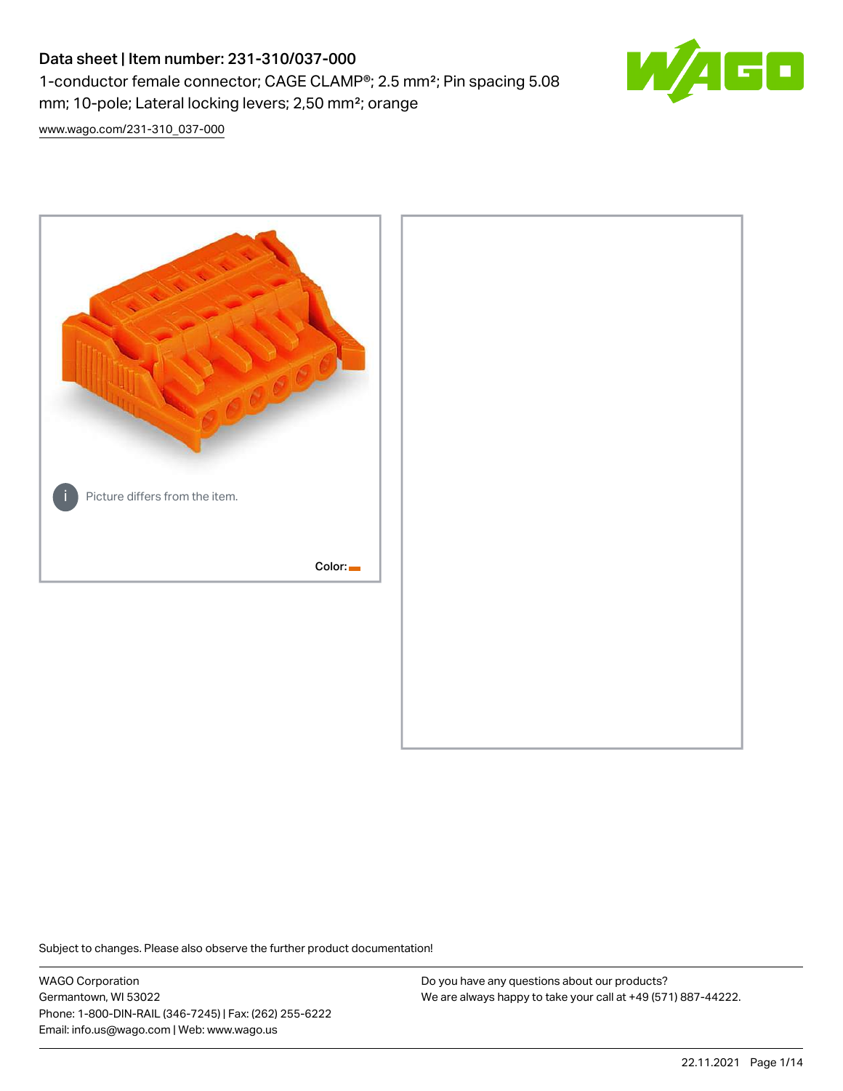# Data sheet | Item number: 231-310/037-000 1-conductor female connector; CAGE CLAMP®; 2.5 mm²; Pin spacing 5.08 mm; 10-pole; Lateral locking levers; 2,50 mm²; orange



[www.wago.com/231-310\\_037-000](http://www.wago.com/231-310_037-000)



Subject to changes. Please also observe the further product documentation!

WAGO Corporation Germantown, WI 53022 Phone: 1-800-DIN-RAIL (346-7245) | Fax: (262) 255-6222 Email: info.us@wago.com | Web: www.wago.us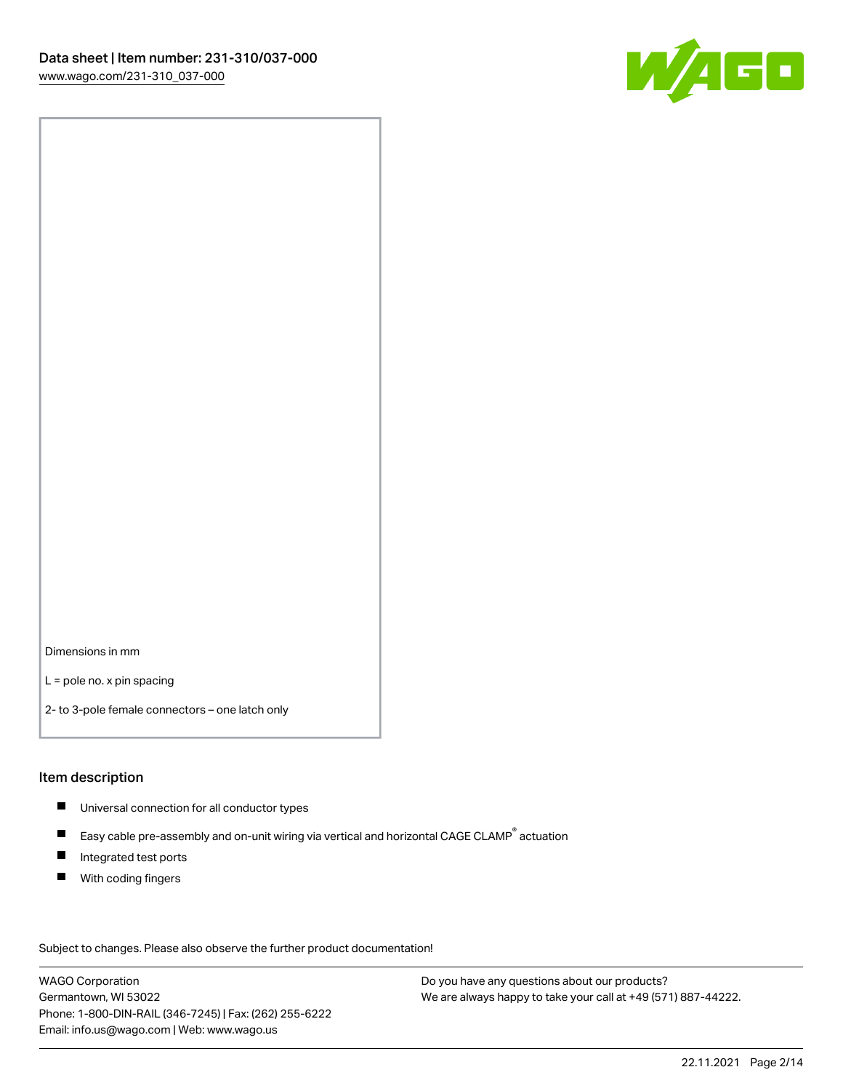

Dimensions in mm

L = pole no. x pin spacing

2- to 3-pole female connectors – one latch only

#### Item description

- **Universal connection for all conductor types**
- Easy cable pre-assembly and on-unit wiring via vertical and horizontal CAGE CLAMP<sup>®</sup> actuation  $\blacksquare$
- $\blacksquare$ Integrated test ports
- $\blacksquare$ With coding fingers

Subject to changes. Please also observe the further product documentation! Data

WAGO Corporation Germantown, WI 53022 Phone: 1-800-DIN-RAIL (346-7245) | Fax: (262) 255-6222 Email: info.us@wago.com | Web: www.wago.us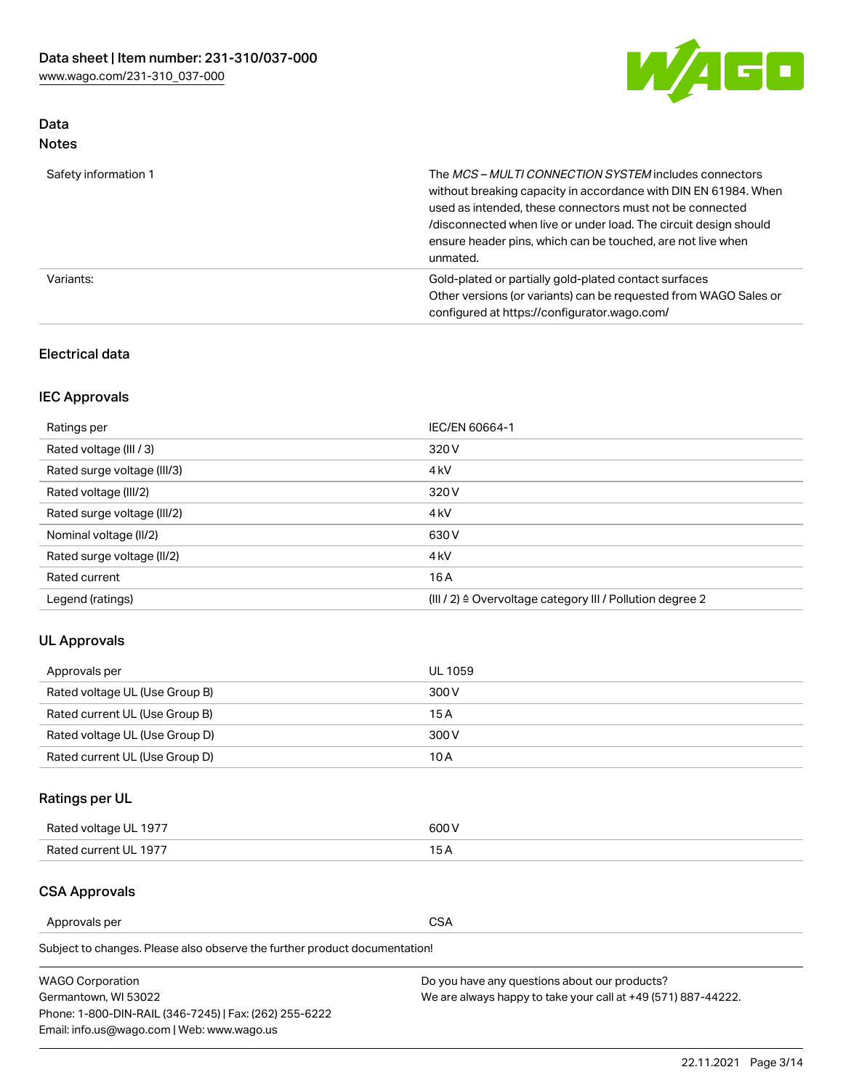

### Data Notes

| Safety information 1 | The MCS-MULTI CONNECTION SYSTEM includes connectors<br>without breaking capacity in accordance with DIN EN 61984. When<br>used as intended, these connectors must not be connected<br>/disconnected when live or under load. The circuit design should<br>ensure header pins, which can be touched, are not live when<br>unmated. |
|----------------------|-----------------------------------------------------------------------------------------------------------------------------------------------------------------------------------------------------------------------------------------------------------------------------------------------------------------------------------|
| Variants:            | Gold-plated or partially gold-plated contact surfaces<br>Other versions (or variants) can be requested from WAGO Sales or<br>configured at https://configurator.wago.com/                                                                                                                                                         |

#### Electrical data

### IEC Approvals

| Ratings per                 | IEC/EN 60664-1                                                        |
|-----------------------------|-----------------------------------------------------------------------|
| Rated voltage (III / 3)     | 320 V                                                                 |
| Rated surge voltage (III/3) | 4 <sub>k</sub> V                                                      |
| Rated voltage (III/2)       | 320 V                                                                 |
| Rated surge voltage (III/2) | 4 <sub>k</sub> V                                                      |
| Nominal voltage (II/2)      | 630 V                                                                 |
| Rated surge voltage (II/2)  | 4 <sub>k</sub> V                                                      |
| Rated current               | 16A                                                                   |
| Legend (ratings)            | $(III / 2)$ $\triangle$ Overvoltage category III / Pollution degree 2 |

#### UL Approvals

| Approvals per                  | UL 1059 |
|--------------------------------|---------|
| Rated voltage UL (Use Group B) | 300 V   |
| Rated current UL (Use Group B) | 15 A    |
| Rated voltage UL (Use Group D) | 300 V   |
| Rated current UL (Use Group D) | 10 A    |

## Ratings per UL

| Rated voltage UL 1977 | 300 V |
|-----------------------|-------|
| Rated current UL 1977 |       |

#### CSA Approvals

Approvals per CSA

Subject to changes. Please also observe the further product documentation!

| <b>WAGO Corporation</b>                                | Do you have any questions about our products?                 |
|--------------------------------------------------------|---------------------------------------------------------------|
| Germantown, WI 53022                                   | We are always happy to take your call at +49 (571) 887-44222. |
| Phone: 1-800-DIN-RAIL (346-7245)   Fax: (262) 255-6222 |                                                               |
| Email: info.us@wago.com   Web: www.wago.us             |                                                               |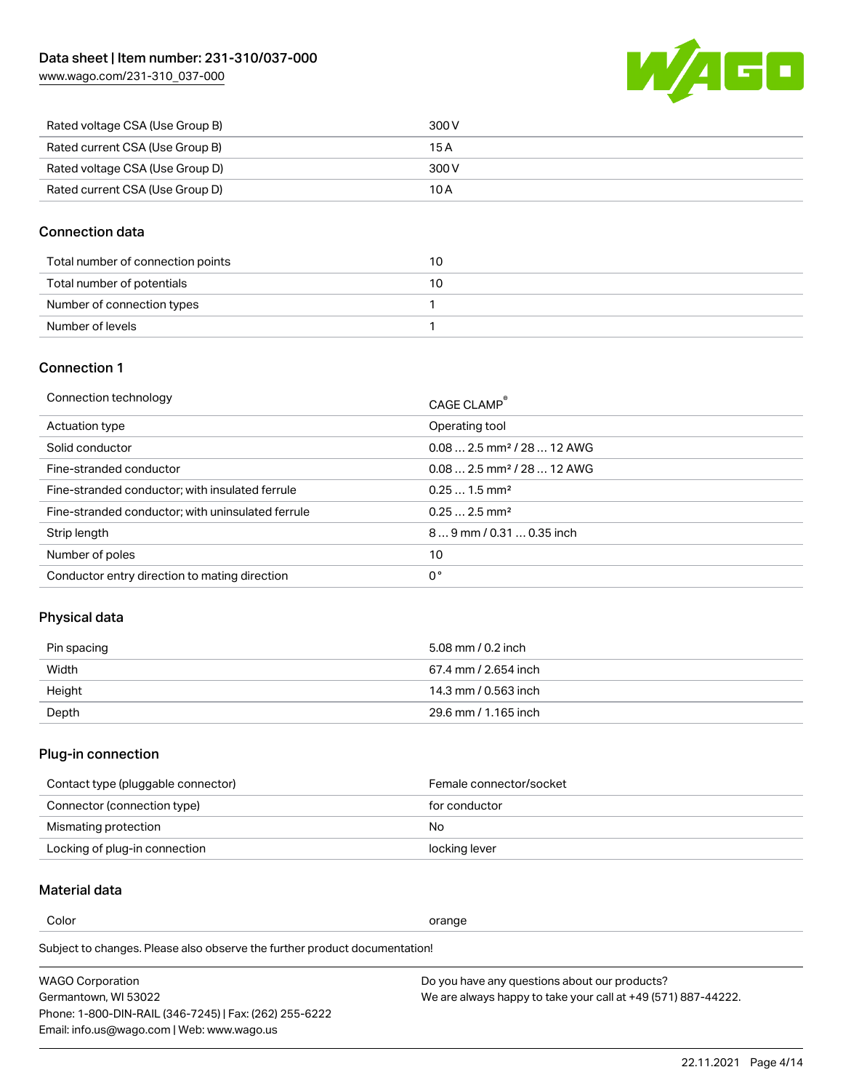[www.wago.com/231-310\\_037-000](http://www.wago.com/231-310_037-000)



| Rated voltage CSA (Use Group B) | 300 V |
|---------------------------------|-------|
| Rated current CSA (Use Group B) | 15 A  |
| Rated voltage CSA (Use Group D) | 300 V |
| Rated current CSA (Use Group D) | 10 A  |

#### Connection data

| Total number of connection points | 10 |
|-----------------------------------|----|
| Total number of potentials        | 10 |
| Number of connection types        |    |
| Number of levels                  |    |

#### Connection 1

| Connection technology                             | CAGE CLAMP®                             |
|---------------------------------------------------|-----------------------------------------|
| Actuation type                                    | Operating tool                          |
| Solid conductor                                   | $0.08$ 2.5 mm <sup>2</sup> / 28  12 AWG |
| Fine-stranded conductor                           | $0.082.5$ mm <sup>2</sup> / 28  12 AWG  |
| Fine-stranded conductor; with insulated ferrule   | $0.251.5$ mm <sup>2</sup>               |
| Fine-stranded conductor; with uninsulated ferrule | $0.252.5$ mm <sup>2</sup>               |
| Strip length                                      | $89$ mm / 0.31  0.35 inch               |
| Number of poles                                   | 10                                      |
| Conductor entry direction to mating direction     | 0°                                      |
|                                                   |                                         |

## Physical data

| Pin spacing | 5.08 mm / 0.2 inch   |
|-------------|----------------------|
| Width       | 67.4 mm / 2.654 inch |
| Height      | 14.3 mm / 0.563 inch |
| Depth       | 29.6 mm / 1.165 inch |

#### Plug-in connection

| Contact type (pluggable connector) | Female connector/socket |
|------------------------------------|-------------------------|
| Connector (connection type)        | for conductor           |
| Mismating protection               | No                      |
| Locking of plug-in connection      | locking lever           |

### Material data

Color contracts and contracts of the contracts of the contracts of the contracts of the contracts of the contracts of the contracts of the contracts of the contracts of the contracts of the contracts of the contracts of th

Subject to changes. Please also observe the further product documentation! Material group I

| <b>WAGO Corporation</b>                                | Do you have any questions about our products?                 |
|--------------------------------------------------------|---------------------------------------------------------------|
| Germantown, WI 53022                                   | We are always happy to take your call at +49 (571) 887-44222. |
| Phone: 1-800-DIN-RAIL (346-7245)   Fax: (262) 255-6222 |                                                               |
| Email: info.us@wago.com   Web: www.wago.us             |                                                               |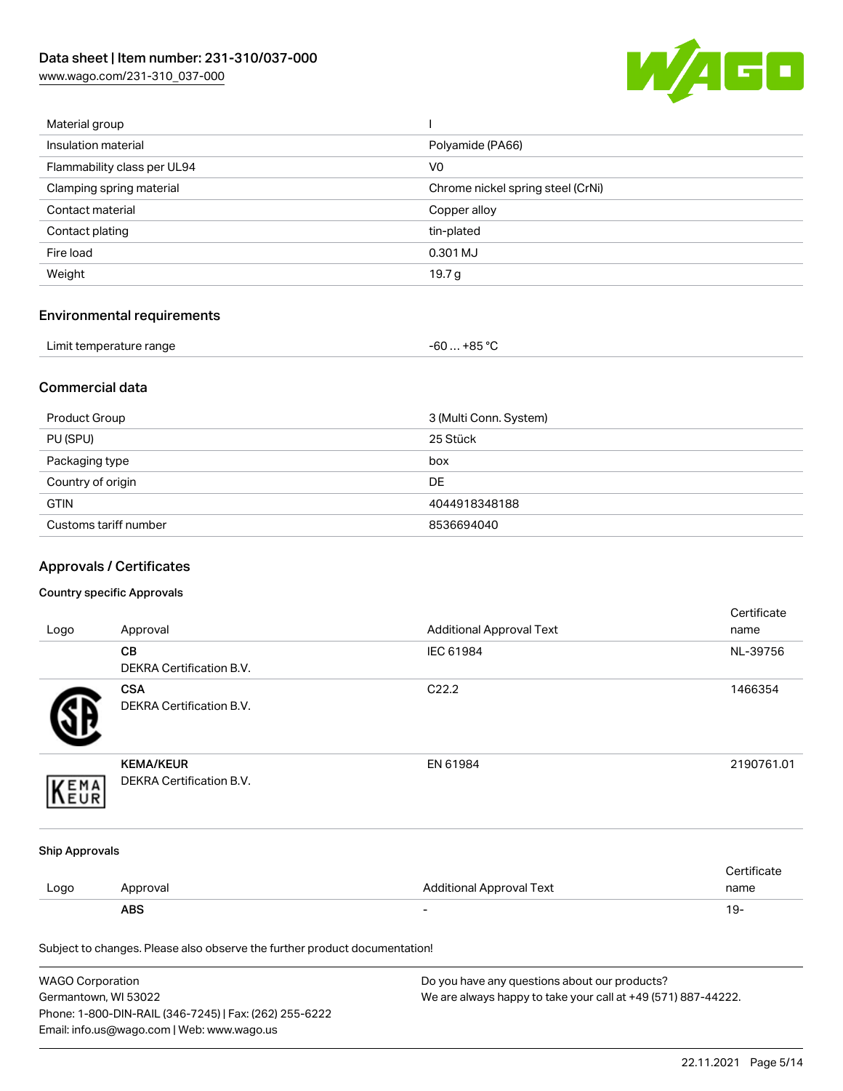[www.wago.com/231-310\\_037-000](http://www.wago.com/231-310_037-000)



| Material group              |                                   |
|-----------------------------|-----------------------------------|
| Insulation material         | Polyamide (PA66)                  |
| Flammability class per UL94 | V <sub>0</sub>                    |
| Clamping spring material    | Chrome nickel spring steel (CrNi) |
| Contact material            | Copper alloy                      |
| Contact plating             | tin-plated                        |
| Fire load                   | 0.301 MJ                          |
| Weight                      | 19.7 g                            |
|                             |                                   |

## Environmental requirements

| Limit temperature range<br>. | . +85 °Ր<br>-60 |  |
|------------------------------|-----------------|--|
|------------------------------|-----------------|--|

#### Commercial data

| Product Group         | 3 (Multi Conn. System) |
|-----------------------|------------------------|
| PU (SPU)              | 25 Stück               |
| Packaging type        | box                    |
| Country of origin     | <b>DE</b>              |
| <b>GTIN</b>           | 4044918348188          |
| Customs tariff number | 8536694040             |

## Approvals / Certificates

#### Country specific Approvals

| Logo                  | Approval                                                                   | <b>Additional Approval Text</b> | Certificate<br>name |
|-----------------------|----------------------------------------------------------------------------|---------------------------------|---------------------|
|                       | CB<br>DEKRA Certification B.V.                                             | IEC 61984                       | NL-39756            |
|                       | <b>CSA</b><br><b>DEKRA Certification B.V.</b>                              | C22.2                           | 1466354             |
| EMA                   | <b>KEMA/KEUR</b><br>DEKRA Certification B.V.                               | EN 61984                        | 2190761.01          |
| <b>Ship Approvals</b> |                                                                            |                                 |                     |
| Logo                  | Approval                                                                   | <b>Additional Approval Text</b> | Certificate<br>name |
|                       | <b>ABS</b>                                                                 |                                 | $19 -$              |
|                       | Subject to changes. Please also observe the further product documentation! |                                 |                     |

| <b>WAGO Corporation</b>                                | Do you have any questions about our products?                 |
|--------------------------------------------------------|---------------------------------------------------------------|
| Germantown, WI 53022                                   | We are always happy to take your call at +49 (571) 887-44222. |
| Phone: 1-800-DIN-RAIL (346-7245)   Fax: (262) 255-6222 |                                                               |
| Email: info.us@wago.com   Web: www.wago.us             |                                                               |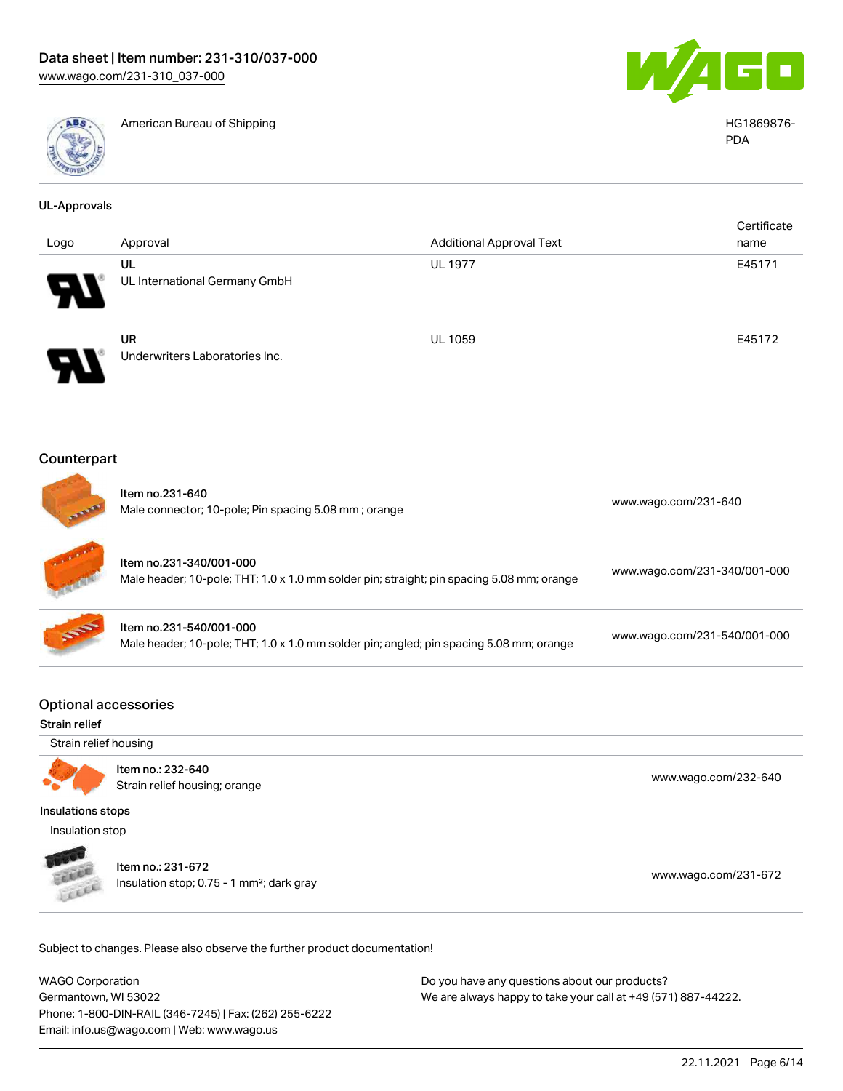

American Bureau of Shipping HG1869876-



PDA

| <b>UL-Approvals</b>                          |                                                                            |                                                                                           |                              |
|----------------------------------------------|----------------------------------------------------------------------------|-------------------------------------------------------------------------------------------|------------------------------|
| Logo                                         | Approval                                                                   | <b>Additional Approval Text</b>                                                           | Certificate<br>name          |
|                                              | <b>UL</b><br>UL International Germany GmbH                                 | <b>UL 1977</b>                                                                            | E45171                       |
|                                              | <b>UR</b><br>Underwriters Laboratories Inc.                                | UL 1059                                                                                   | E45172                       |
| Counterpart                                  |                                                                            |                                                                                           |                              |
|                                              | Item no.231-640<br>Male connector; 10-pole; Pin spacing 5.08 mm; orange    |                                                                                           | www.wago.com/231-640         |
|                                              | Item no.231-340/001-000                                                    | Male header; 10-pole; THT; 1.0 x 1.0 mm solder pin; straight; pin spacing 5.08 mm; orange | www.wago.com/231-340/001-000 |
|                                              | Item no.231-540/001-000                                                    | Male header; 10-pole; THT; 1.0 x 1.0 mm solder pin; angled; pin spacing 5.08 mm; orange   | www.wago.com/231-540/001-000 |
| <b>Optional accessories</b><br>Strain relief |                                                                            |                                                                                           |                              |
| Strain relief housing                        |                                                                            |                                                                                           |                              |
|                                              | Item no.: 232-640<br>Strain relief housing; orange                         |                                                                                           | www.wago.com/232-640         |
| <b>Insulations stops</b>                     |                                                                            |                                                                                           |                              |
| Insulation stop                              |                                                                            |                                                                                           |                              |
|                                              | Item no.: 231-672<br>Insulation stop; 0.75 - 1 mm <sup>2</sup> ; dark gray |                                                                                           | www.wago.com/231-672         |
|                                              | Subject to changes. Please also observe the further product documentation! |                                                                                           |                              |

WAGO Corporation Germantown, WI 53022 Phone: 1-800-DIN-RAIL (346-7245) | Fax: (262) 255-6222 Email: info.us@wago.com | Web: www.wago.us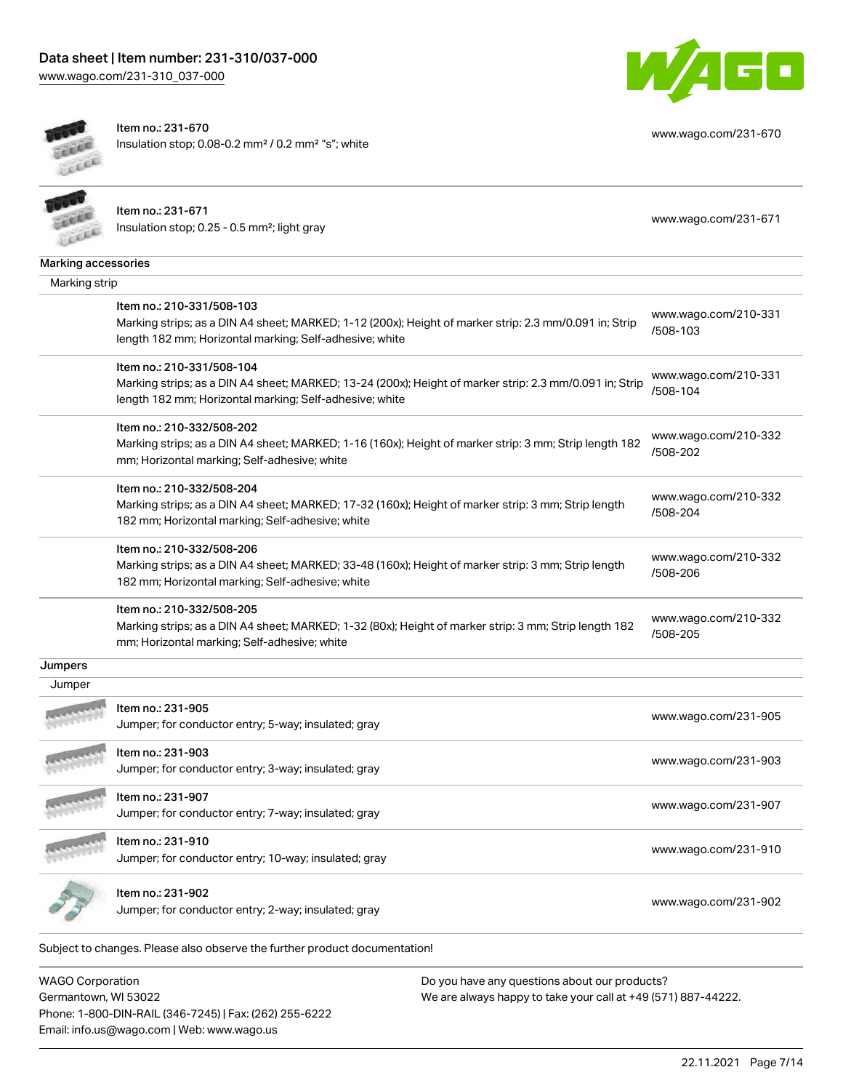



Item no.: 231-670 Insulation stop; 0.08-0.2 mm² / 0.2 mm² "s"; white

[www.wago.com/231-670](http://www.wago.com/231-670)

|                     | Item no.: 231-671<br>Insulation stop; 0.25 - 0.5 mm <sup>2</sup> ; light gray                                                                                      | www.wago.com/231-671             |
|---------------------|--------------------------------------------------------------------------------------------------------------------------------------------------------------------|----------------------------------|
| Marking accessories |                                                                                                                                                                    |                                  |
| Marking strip       |                                                                                                                                                                    |                                  |
|                     | Item no.: 210-331/508-103                                                                                                                                          |                                  |
|                     | Marking strips; as a DIN A4 sheet; MARKED; 1-12 (200x); Height of marker strip: 2.3 mm/0.091 in; Strip<br>length 182 mm; Horizontal marking; Self-adhesive; white  | www.wago.com/210-331<br>/508-103 |
|                     | Item no.: 210-331/508-104                                                                                                                                          |                                  |
|                     | Marking strips; as a DIN A4 sheet; MARKED; 13-24 (200x); Height of marker strip: 2.3 mm/0.091 in; Strip<br>length 182 mm; Horizontal marking; Self-adhesive; white | www.wago.com/210-331<br>/508-104 |
|                     | Item no.: 210-332/508-202                                                                                                                                          |                                  |
|                     | Marking strips; as a DIN A4 sheet; MARKED; 1-16 (160x); Height of marker strip: 3 mm; Strip length 182<br>mm; Horizontal marking; Self-adhesive; white             | www.wago.com/210-332<br>/508-202 |
|                     | Item no.: 210-332/508-204                                                                                                                                          |                                  |
|                     | Marking strips; as a DIN A4 sheet; MARKED; 17-32 (160x); Height of marker strip: 3 mm; Strip length<br>182 mm; Horizontal marking; Self-adhesive; white            | www.wago.com/210-332<br>/508-204 |
|                     | Item no.: 210-332/508-206                                                                                                                                          |                                  |
|                     | Marking strips; as a DIN A4 sheet; MARKED; 33-48 (160x); Height of marker strip: 3 mm; Strip length<br>182 mm; Horizontal marking; Self-adhesive; white            | www.wago.com/210-332<br>/508-206 |
|                     | Item no.: 210-332/508-205                                                                                                                                          |                                  |
|                     | Marking strips; as a DIN A4 sheet; MARKED; 1-32 (80x); Height of marker strip: 3 mm; Strip length 182<br>mm; Horizontal marking; Self-adhesive; white              | www.wago.com/210-332<br>/508-205 |
| Jumpers             |                                                                                                                                                                    |                                  |
| Jumper              |                                                                                                                                                                    |                                  |
|                     | Item no.: 231-905<br>Jumper; for conductor entry; 5-way; insulated; gray                                                                                           | www.wago.com/231-905             |
|                     | Item no.: 231-903<br>Jumper; for conductor entry; 3-way; insulated; gray                                                                                           | www.wago.com/231-903             |
|                     |                                                                                                                                                                    |                                  |
|                     | Item no.: 231-907                                                                                                                                                  |                                  |
|                     | Jumper; for conductor entry; 7-way; insulated; gray                                                                                                                | www.wago.com/231-907             |
|                     | Item no.: 231-910<br>Jumper; for conductor entry; 10-way; insulated; gray                                                                                          | www.wago.com/231-910             |

WAGO Corporation Germantown, WI 53022 Phone: 1-800-DIN-RAIL (346-7245) | Fax: (262) 255-6222 Email: info.us@wago.com | Web: www.wago.us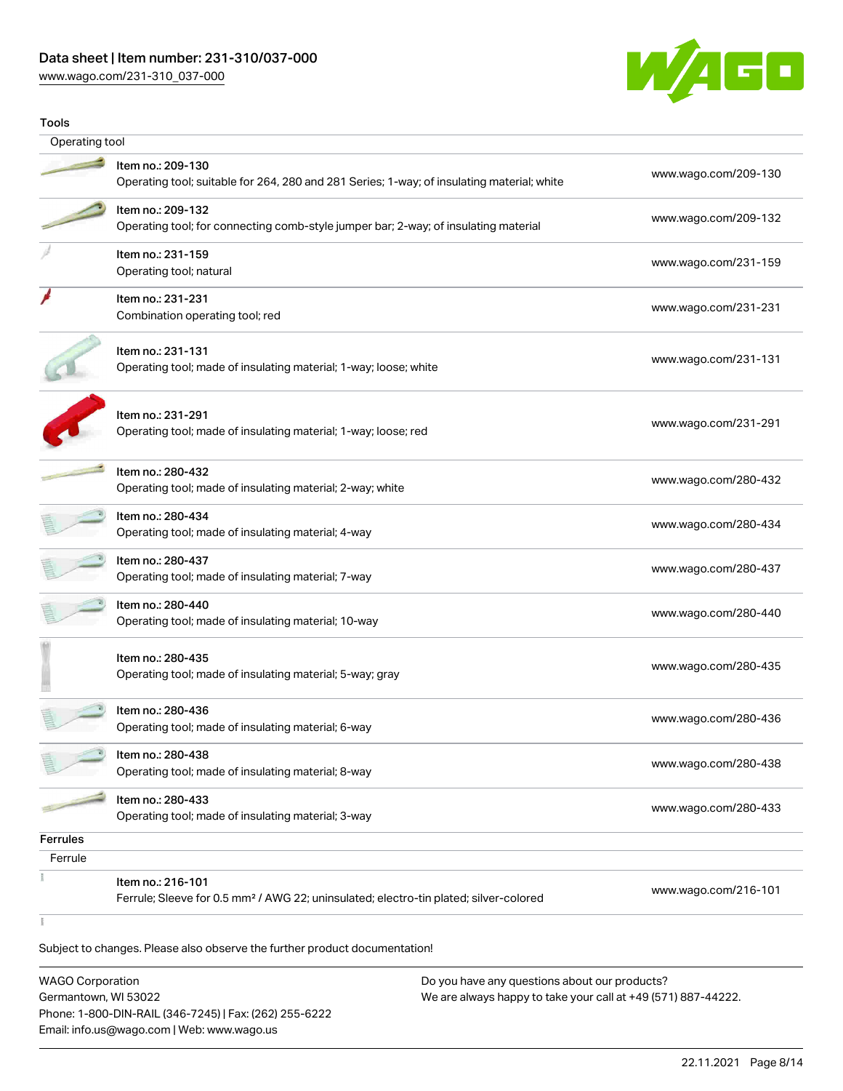#### Data sheet | Item number: 231-310/037-000

[www.wago.com/231-310\\_037-000](http://www.wago.com/231-310_037-000)



| Item no.: 209-130<br>Operating tool; suitable for 264, 280 and 281 Series; 1-way; of insulating material; white        | www.wago.com/209-130 |
|------------------------------------------------------------------------------------------------------------------------|----------------------|
|                                                                                                                        |                      |
|                                                                                                                        |                      |
| Item no.: 209-132<br>Operating tool; for connecting comb-style jumper bar; 2-way; of insulating material               | www.wago.com/209-132 |
| Item no.: 231-159<br>Operating tool; natural                                                                           | www.wago.com/231-159 |
| Item no.: 231-231<br>Combination operating tool; red                                                                   | www.wago.com/231-231 |
| Item no.: 231-131<br>Operating tool; made of insulating material; 1-way; loose; white                                  | www.wago.com/231-131 |
| Item no.: 231-291<br>Operating tool; made of insulating material; 1-way; loose; red                                    | www.wago.com/231-291 |
| Item no.: 280-432<br>Operating tool; made of insulating material; 2-way; white                                         | www.wago.com/280-432 |
| Item no.: 280-434<br>Operating tool; made of insulating material; 4-way                                                | www.wago.com/280-434 |
| Item no.: 280-437<br>Operating tool; made of insulating material; 7-way                                                | www.wago.com/280-437 |
| Item no.: 280-440<br>Operating tool; made of insulating material; 10-way                                               | www.wago.com/280-440 |
| Item no.: 280-435<br>Operating tool; made of insulating material; 5-way; gray                                          | www.wago.com/280-435 |
| Item no.: 280-436<br>Operating tool; made of insulating material; 6-way                                                | www.wago.com/280-436 |
| Item no.: 280-438<br>Operating tool; made of insulating material; 8-way                                                | www.wago.com/280-438 |
| Item no.: 280-433<br>Operating tool; made of insulating material; 3-way                                                | www.wago.com/280-433 |
|                                                                                                                        |                      |
|                                                                                                                        |                      |
| Item no.: 216-101<br>Ferrule; Sleeve for 0.5 mm <sup>2</sup> / AWG 22; uninsulated; electro-tin plated; silver-colored | www.wago.com/216-101 |
|                                                                                                                        |                      |

Subject to changes. Please also observe the further product documentation!

WAGO Corporation Germantown, WI 53022 Phone: 1-800-DIN-RAIL (346-7245) | Fax: (262) 255-6222 Email: info.us@wago.com | Web: www.wago.us Do you have any questions about our products? We are always happy to take your call at +49 (571) 887-44222.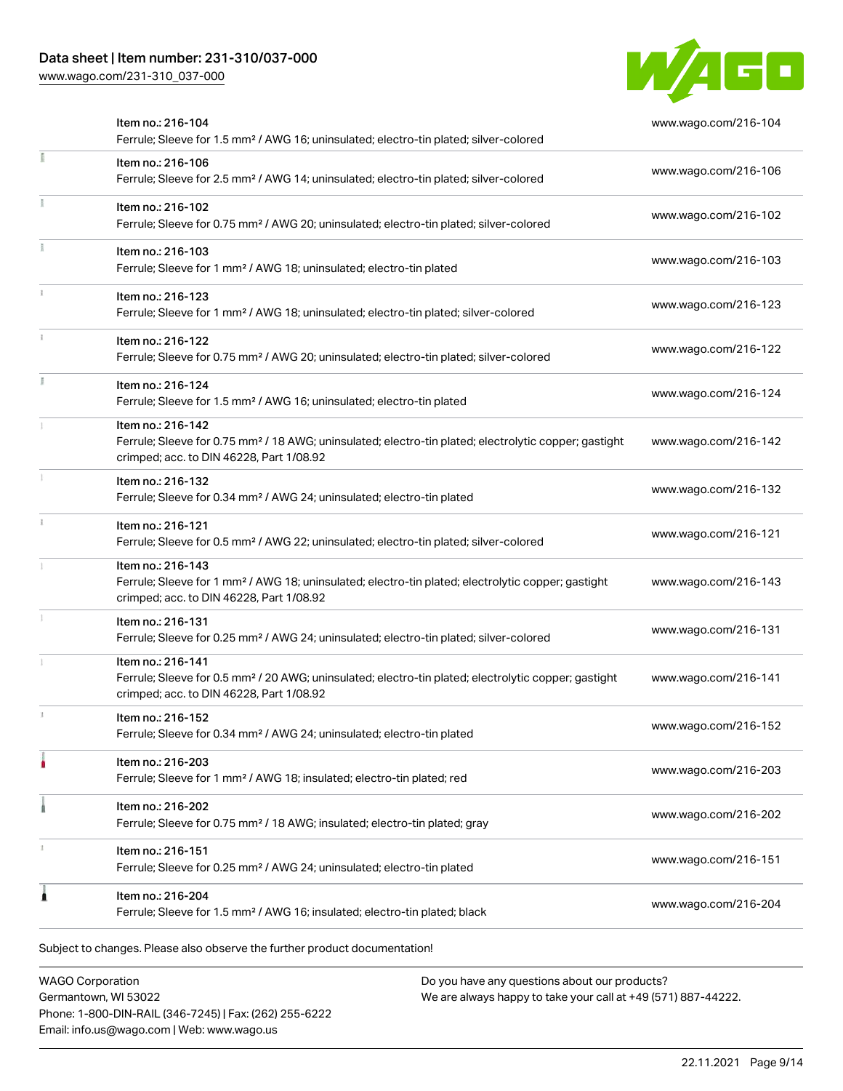### Data sheet | Item number: 231-310/037-000

[www.wago.com/231-310\\_037-000](http://www.wago.com/231-310_037-000)



| Item no.: 216-104<br>Ferrule; Sleeve for 1.5 mm <sup>2</sup> / AWG 16; uninsulated; electro-tin plated; silver-colored                                                             | www.wago.com/216-104 |
|------------------------------------------------------------------------------------------------------------------------------------------------------------------------------------|----------------------|
| Item no.: 216-106<br>Ferrule; Sleeve for 2.5 mm <sup>2</sup> / AWG 14; uninsulated; electro-tin plated; silver-colored                                                             | www.wago.com/216-106 |
| Item no.: 216-102<br>Ferrule; Sleeve for 0.75 mm <sup>2</sup> / AWG 20; uninsulated; electro-tin plated; silver-colored                                                            | www.wago.com/216-102 |
| Item no.: 216-103<br>Ferrule; Sleeve for 1 mm <sup>2</sup> / AWG 18; uninsulated; electro-tin plated                                                                               | www.wago.com/216-103 |
| Item no.: 216-123<br>Ferrule; Sleeve for 1 mm <sup>2</sup> / AWG 18; uninsulated; electro-tin plated; silver-colored                                                               | www.wago.com/216-123 |
| Item no.: 216-122<br>Ferrule; Sleeve for 0.75 mm <sup>2</sup> / AWG 20; uninsulated; electro-tin plated; silver-colored                                                            | www.wago.com/216-122 |
| Item no.: 216-124<br>Ferrule; Sleeve for 1.5 mm <sup>2</sup> / AWG 16; uninsulated; electro-tin plated                                                                             | www.wago.com/216-124 |
| Item no.: 216-142<br>Ferrule; Sleeve for 0.75 mm <sup>2</sup> / 18 AWG; uninsulated; electro-tin plated; electrolytic copper; gastight<br>crimped; acc. to DIN 46228, Part 1/08.92 | www.wago.com/216-142 |
| Item no.: 216-132<br>Ferrule; Sleeve for 0.34 mm <sup>2</sup> / AWG 24; uninsulated; electro-tin plated                                                                            | www.wago.com/216-132 |
| Item no.: 216-121<br>Ferrule; Sleeve for 0.5 mm <sup>2</sup> / AWG 22; uninsulated; electro-tin plated; silver-colored                                                             | www.wago.com/216-121 |
| Item no.: 216-143<br>Ferrule; Sleeve for 1 mm <sup>2</sup> / AWG 18; uninsulated; electro-tin plated; electrolytic copper; gastight<br>crimped; acc. to DIN 46228, Part 1/08.92    | www.wago.com/216-143 |
| Item no.: 216-131<br>Ferrule; Sleeve for 0.25 mm <sup>2</sup> / AWG 24; uninsulated; electro-tin plated; silver-colored                                                            | www.wago.com/216-131 |
| Item no.: 216-141<br>Ferrule; Sleeve for 0.5 mm <sup>2</sup> / 20 AWG; uninsulated; electro-tin plated; electrolytic copper; gastight<br>crimped; acc. to DIN 46228, Part 1/08.92  | www.wago.com/216-141 |
| Item no.: 216-152<br>Ferrule; Sleeve for 0.34 mm <sup>2</sup> / AWG 24; uninsulated; electro-tin plated                                                                            | www.wago.com/216-152 |
| Item no.: 216-203<br>Ferrule; Sleeve for 1 mm <sup>2</sup> / AWG 18; insulated; electro-tin plated; red                                                                            | www.wago.com/216-203 |
| Item no.: 216-202<br>Ferrule; Sleeve for 0.75 mm <sup>2</sup> / 18 AWG; insulated; electro-tin plated; gray                                                                        | www.wago.com/216-202 |
| Item no.: 216-151<br>Ferrule; Sleeve for 0.25 mm <sup>2</sup> / AWG 24; uninsulated; electro-tin plated                                                                            | www.wago.com/216-151 |
| Item no.: 216-204<br>Ferrule; Sleeve for 1.5 mm <sup>2</sup> / AWG 16; insulated; electro-tin plated; black                                                                        | www.wago.com/216-204 |

WAGO Corporation Germantown, WI 53022 Phone: 1-800-DIN-RAIL (346-7245) | Fax: (262) 255-6222 Email: info.us@wago.com | Web: www.wago.us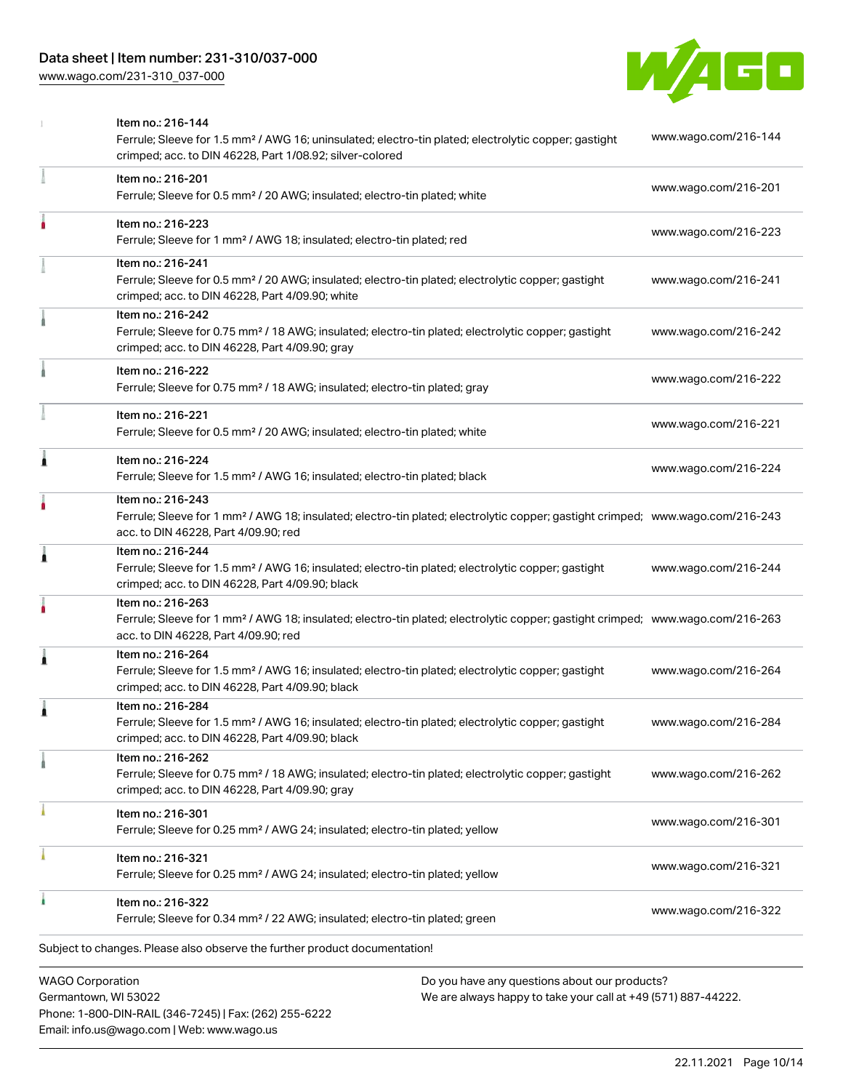### Data sheet | Item number: 231-310/037-000

[www.wago.com/231-310\\_037-000](http://www.wago.com/231-310_037-000)



|                         | Item no.: 216-144<br>Ferrule; Sleeve for 1.5 mm <sup>2</sup> / AWG 16; uninsulated; electro-tin plated; electrolytic copper; gastight<br>crimped; acc. to DIN 46228, Part 1/08.92; silver-colored       | www.wago.com/216-144 |
|-------------------------|---------------------------------------------------------------------------------------------------------------------------------------------------------------------------------------------------------|----------------------|
|                         | Item no.: 216-201<br>Ferrule; Sleeve for 0.5 mm <sup>2</sup> / 20 AWG; insulated; electro-tin plated; white                                                                                             | www.wago.com/216-201 |
|                         | Item no.: 216-223<br>Ferrule; Sleeve for 1 mm <sup>2</sup> / AWG 18; insulated; electro-tin plated; red                                                                                                 | www.wago.com/216-223 |
|                         | Item no.: 216-241<br>Ferrule; Sleeve for 0.5 mm <sup>2</sup> / 20 AWG; insulated; electro-tin plated; electrolytic copper; gastight<br>crimped; acc. to DIN 46228, Part 4/09.90; white                  | www.wago.com/216-241 |
|                         | Item no.: 216-242<br>Ferrule; Sleeve for 0.75 mm <sup>2</sup> / 18 AWG; insulated; electro-tin plated; electrolytic copper; gastight<br>crimped; acc. to DIN 46228, Part 4/09.90; gray                  | www.wago.com/216-242 |
|                         | Item no.: 216-222<br>Ferrule; Sleeve for 0.75 mm <sup>2</sup> / 18 AWG; insulated; electro-tin plated; gray                                                                                             | www.wago.com/216-222 |
|                         | Item no.: 216-221<br>Ferrule; Sleeve for 0.5 mm <sup>2</sup> / 20 AWG; insulated; electro-tin plated; white                                                                                             | www.wago.com/216-221 |
| Â                       | Item no.: 216-224<br>Ferrule; Sleeve for 1.5 mm <sup>2</sup> / AWG 16; insulated; electro-tin plated; black                                                                                             | www.wago.com/216-224 |
|                         | Item no.: 216-243<br>Ferrule; Sleeve for 1 mm <sup>2</sup> / AWG 18; insulated; electro-tin plated; electrolytic copper; gastight crimped; www.wago.com/216-243<br>acc. to DIN 46228, Part 4/09.90; red |                      |
| 1                       | Item no.: 216-244<br>Ferrule; Sleeve for 1.5 mm <sup>2</sup> / AWG 16; insulated; electro-tin plated; electrolytic copper; gastight<br>crimped; acc. to DIN 46228, Part 4/09.90; black                  | www.wago.com/216-244 |
|                         | Item no.: 216-263<br>Ferrule; Sleeve for 1 mm <sup>2</sup> / AWG 18; insulated; electro-tin plated; electrolytic copper; gastight crimped; www.wago.com/216-263<br>acc. to DIN 46228, Part 4/09.90; red |                      |
| Â                       | Item no.: 216-264<br>Ferrule; Sleeve for 1.5 mm <sup>2</sup> / AWG 16; insulated; electro-tin plated; electrolytic copper; gastight<br>crimped; acc. to DIN 46228, Part 4/09.90; black                  | www.wago.com/216-264 |
|                         | Item no.: 216-284<br>Ferrule; Sleeve for 1.5 mm <sup>2</sup> / AWG 16; insulated; electro-tin plated; electrolytic copper; gastight<br>crimped; acc. to DIN 46228, Part 4/09.90; black                  | www.wago.com/216-284 |
|                         | Item no.: 216-262<br>Ferrule; Sleeve for 0.75 mm <sup>2</sup> / 18 AWG; insulated; electro-tin plated; electrolytic copper; gastight<br>crimped; acc. to DIN 46228, Part 4/09.90; gray                  | www.wago.com/216-262 |
|                         | Item no.: 216-301<br>Ferrule; Sleeve for 0.25 mm <sup>2</sup> / AWG 24; insulated; electro-tin plated; yellow                                                                                           | www.wago.com/216-301 |
|                         | Item no.: 216-321<br>Ferrule; Sleeve for 0.25 mm <sup>2</sup> / AWG 24; insulated; electro-tin plated; yellow                                                                                           | www.wago.com/216-321 |
|                         | Item no.: 216-322<br>Ferrule; Sleeve for 0.34 mm <sup>2</sup> / 22 AWG; insulated; electro-tin plated; green                                                                                            | www.wago.com/216-322 |
|                         | Subject to changes. Please also observe the further product documentation!                                                                                                                              |                      |
| <b>WAGO Corporation</b> | Do you have any questions about our products?                                                                                                                                                           |                      |

Germantown, WI 53022 Phone: 1-800-DIN-RAIL (346-7245) | Fax: (262) 255-6222 Email: info.us@wago.com | Web: www.wago.us

have any questions about o<mark>l</mark> We are always happy to take your call at +49 (571) 887-44222.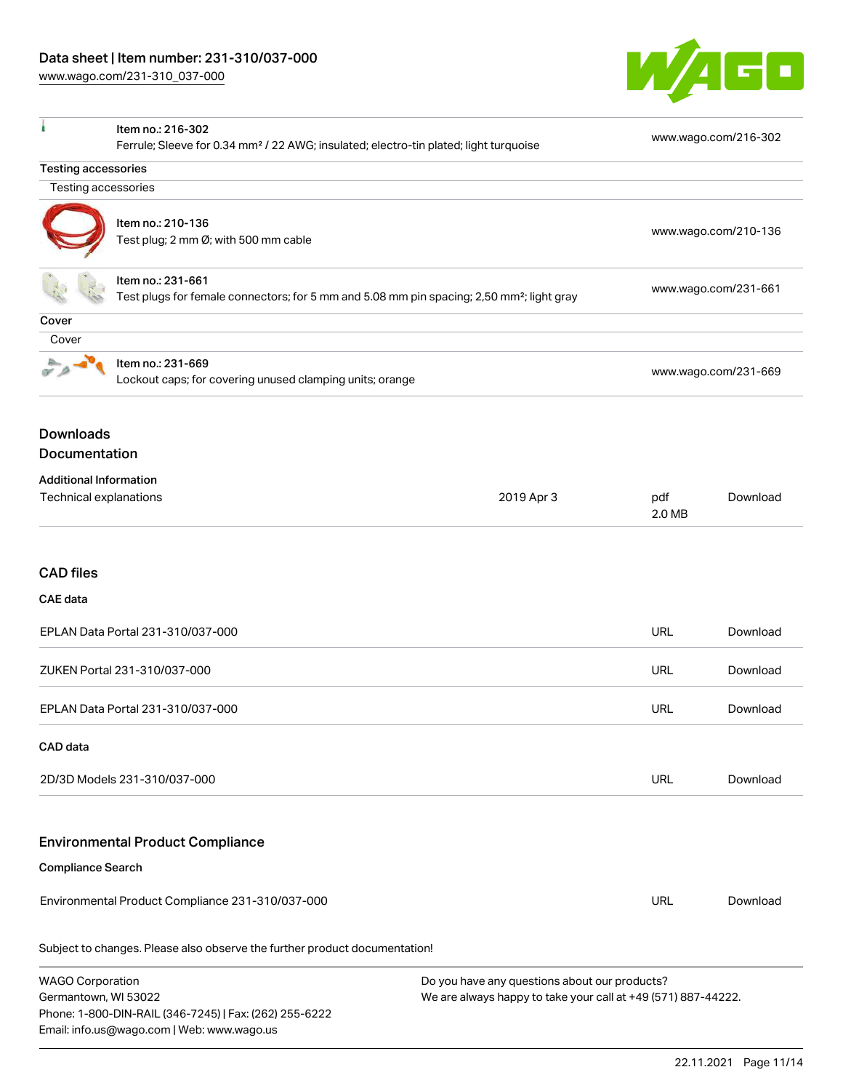Email: info.us@wago.com | Web: www.wago.us



|                                                                                                       | Item no.: 216-302                                                                                 |                                                               |               | www.wago.com/216-302 |  |
|-------------------------------------------------------------------------------------------------------|---------------------------------------------------------------------------------------------------|---------------------------------------------------------------|---------------|----------------------|--|
|                                                                                                       | Ferrule; Sleeve for 0.34 mm <sup>2</sup> / 22 AWG; insulated; electro-tin plated; light turquoise |                                                               |               |                      |  |
| <b>Testing accessories</b><br>Testing accessories                                                     |                                                                                                   |                                                               |               |                      |  |
|                                                                                                       |                                                                                                   |                                                               |               |                      |  |
|                                                                                                       | Item no.: 210-136                                                                                 |                                                               |               | www.wago.com/210-136 |  |
|                                                                                                       | Test plug; 2 mm Ø; with 500 mm cable                                                              |                                                               |               |                      |  |
|                                                                                                       | Item no.: 231-661                                                                                 |                                                               |               | www.wago.com/231-661 |  |
| Test plugs for female connectors; for 5 mm and 5.08 mm pin spacing; 2,50 mm <sup>2</sup> ; light gray |                                                                                                   |                                                               |               |                      |  |
| Cover<br>Cover                                                                                        |                                                                                                   |                                                               |               |                      |  |
|                                                                                                       | Item no.: 231-669                                                                                 |                                                               |               |                      |  |
|                                                                                                       | Lockout caps; for covering unused clamping units; orange                                          |                                                               |               | www.wago.com/231-669 |  |
|                                                                                                       |                                                                                                   |                                                               |               |                      |  |
| <b>Downloads</b>                                                                                      |                                                                                                   |                                                               |               |                      |  |
| Documentation                                                                                         |                                                                                                   |                                                               |               |                      |  |
| <b>Additional Information</b>                                                                         |                                                                                                   |                                                               |               |                      |  |
| Technical explanations                                                                                |                                                                                                   | 2019 Apr 3                                                    | pdf<br>2.0 MB | Download             |  |
|                                                                                                       |                                                                                                   |                                                               |               |                      |  |
|                                                                                                       |                                                                                                   |                                                               |               |                      |  |
| <b>CAD files</b>                                                                                      |                                                                                                   |                                                               |               |                      |  |
| <b>CAE</b> data                                                                                       |                                                                                                   |                                                               |               |                      |  |
|                                                                                                       | EPLAN Data Portal 231-310/037-000                                                                 |                                                               | <b>URL</b>    | Download             |  |
|                                                                                                       | ZUKEN Portal 231-310/037-000                                                                      |                                                               | <b>URL</b>    | Download             |  |
|                                                                                                       | EPLAN Data Portal 231-310/037-000                                                                 |                                                               | <b>URL</b>    | Download             |  |
| CAD data                                                                                              |                                                                                                   |                                                               |               |                      |  |
|                                                                                                       | 2D/3D Models 231-310/037-000                                                                      |                                                               | <b>URL</b>    | Download             |  |
|                                                                                                       | <b>Environmental Product Compliance</b>                                                           |                                                               |               |                      |  |
| <b>Compliance Search</b>                                                                              |                                                                                                   |                                                               |               |                      |  |
|                                                                                                       | Environmental Product Compliance 231-310/037-000                                                  |                                                               | <b>URL</b>    | Download             |  |
|                                                                                                       | Subject to changes. Please also observe the further product documentation!                        |                                                               |               |                      |  |
| <b>WAGO Corporation</b>                                                                               |                                                                                                   | Do you have any questions about our products?                 |               |                      |  |
| Germantown, WI 53022                                                                                  | Phone: 1-800-DIN-RAIL (346-7245)   Fax: (262) 255-6222                                            | We are always happy to take your call at +49 (571) 887-44222. |               |                      |  |
|                                                                                                       |                                                                                                   |                                                               |               |                      |  |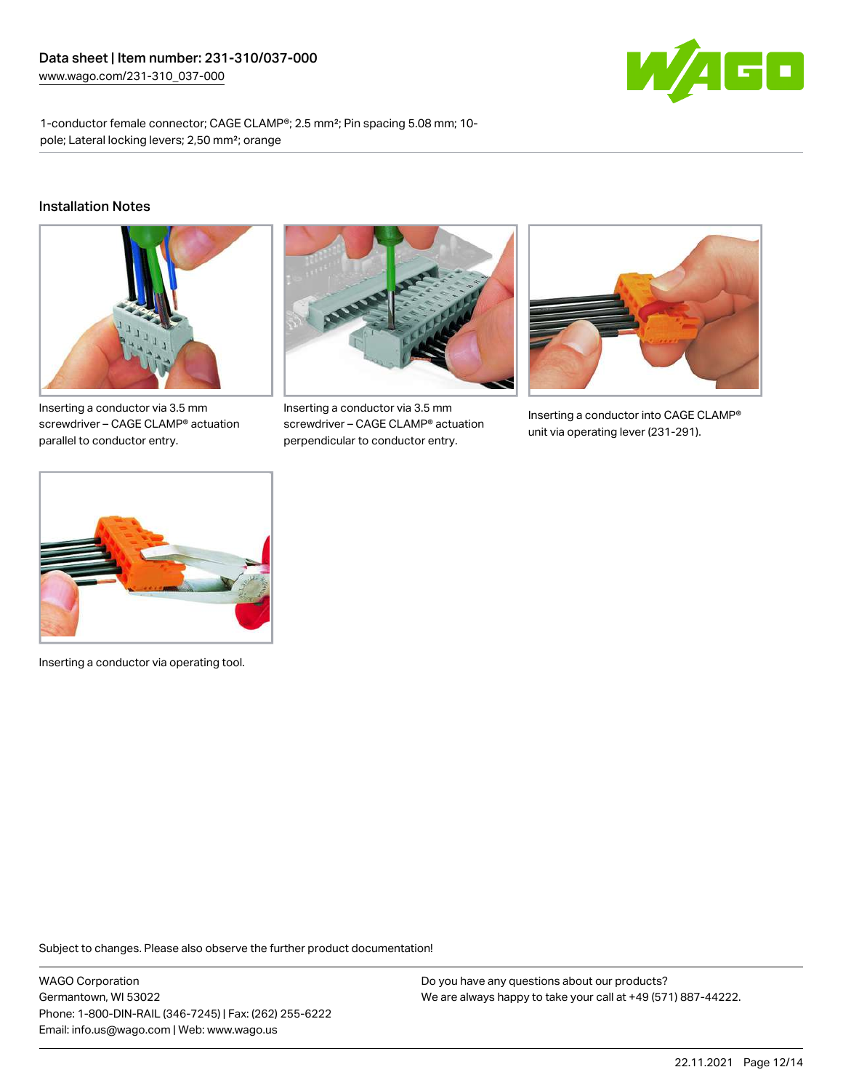

1-conductor female connector; CAGE CLAMP®; 2.5 mm²; Pin spacing 5.08 mm; 10 pole; Lateral locking levers; 2,50 mm²; orange

#### Installation Notes



Inserting a conductor via 3.5 mm screwdriver – CAGE CLAMP® actuation parallel to conductor entry.



Inserting a conductor via 3.5 mm screwdriver – CAGE CLAMP® actuation perpendicular to conductor entry.



Inserting a conductor into CAGE CLAMP® unit via operating lever (231-291).



Inserting a conductor via operating tool.

Subject to changes. Please also observe the further product documentation!

WAGO Corporation Germantown, WI 53022 Phone: 1-800-DIN-RAIL (346-7245) | Fax: (262) 255-6222 Email: info.us@wago.com | Web: www.wago.us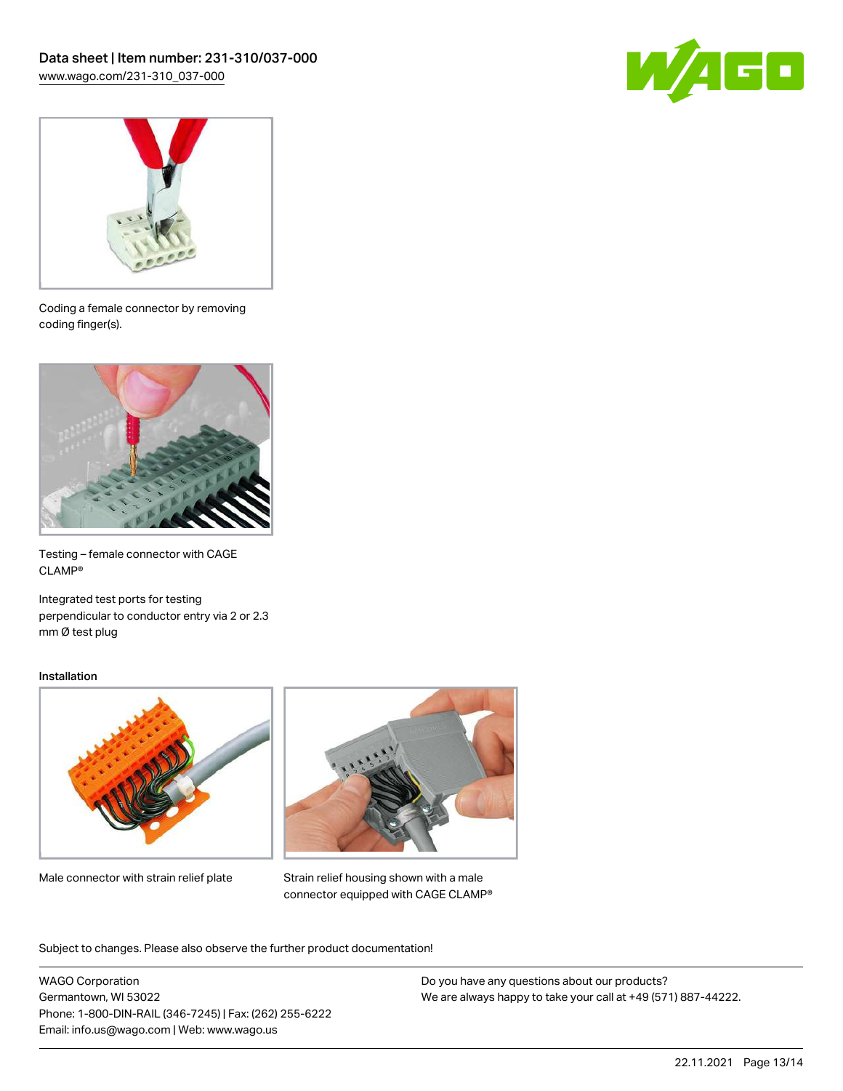



Coding a female connector by removing coding finger(s).



Testing – female connector with CAGE CLAMP®

Integrated test ports for testing perpendicular to conductor entry via 2 or 2.3 mm Ø test plug

#### Installation



Male connector with strain relief plate



Strain relief housing shown with a male connector equipped with CAGE CLAMP®

Subject to changes. Please also observe the further product documentation!

WAGO Corporation Germantown, WI 53022 Phone: 1-800-DIN-RAIL (346-7245) | Fax: (262) 255-6222 Email: info.us@wago.com | Web: www.wago.us